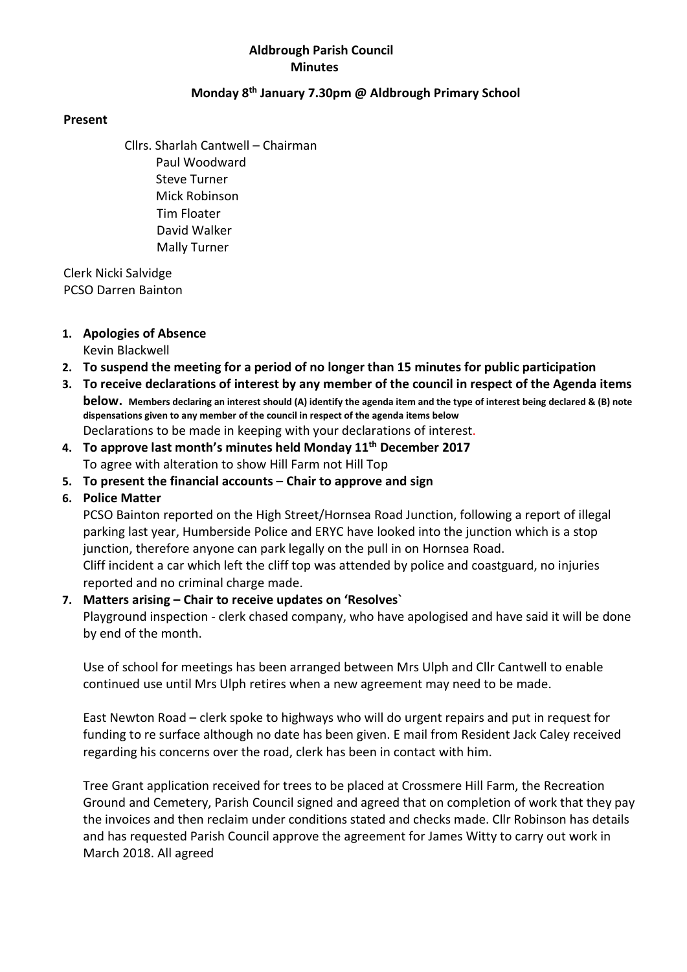## Aldbrough Parish Council Minutes

## Monday 8th January 7.30pm @ Aldbrough Primary School

## Present

Cllrs. Sharlah Cantwell – Chairman Paul Woodward Steve Turner Mick Robinson Tim Floater David Walker Mally Turner

 Clerk Nicki Salvidge PCSO Darren Bainton

## 1. Apologies of Absence

Kevin Blackwell

- 2. To suspend the meeting for a period of no longer than 15 minutes for public participation
- 3. To receive declarations of interest by any member of the council in respect of the Agenda items below. Members declaring an interest should (A) identify the agenda item and the type of interest being declared & (B) note dispensations given to any member of the council in respect of the agenda items below Declarations to be made in keeping with your declarations of interest.
- 4. To approve last month's minutes held Monday  $11<sup>th</sup>$  December 2017 To agree with alteration to show Hill Farm not Hill Top
- 5. To present the financial accounts Chair to approve and sign

# 6. Police Matter

PCSO Bainton reported on the High Street/Hornsea Road Junction, following a report of illegal parking last year, Humberside Police and ERYC have looked into the junction which is a stop junction, therefore anyone can park legally on the pull in on Hornsea Road. Cliff incident a car which left the cliff top was attended by police and coastguard, no injuries reported and no criminal charge made.

# 7. Matters arising – Chair to receive updates on 'Resolves`

Playground inspection - clerk chased company, who have apologised and have said it will be done by end of the month.

Use of school for meetings has been arranged between Mrs Ulph and Cllr Cantwell to enable continued use until Mrs Ulph retires when a new agreement may need to be made.

East Newton Road – clerk spoke to highways who will do urgent repairs and put in request for funding to re surface although no date has been given. E mail from Resident Jack Caley received regarding his concerns over the road, clerk has been in contact with him.

Tree Grant application received for trees to be placed at Crossmere Hill Farm, the Recreation Ground and Cemetery, Parish Council signed and agreed that on completion of work that they pay the invoices and then reclaim under conditions stated and checks made. Cllr Robinson has details and has requested Parish Council approve the agreement for James Witty to carry out work in March 2018. All agreed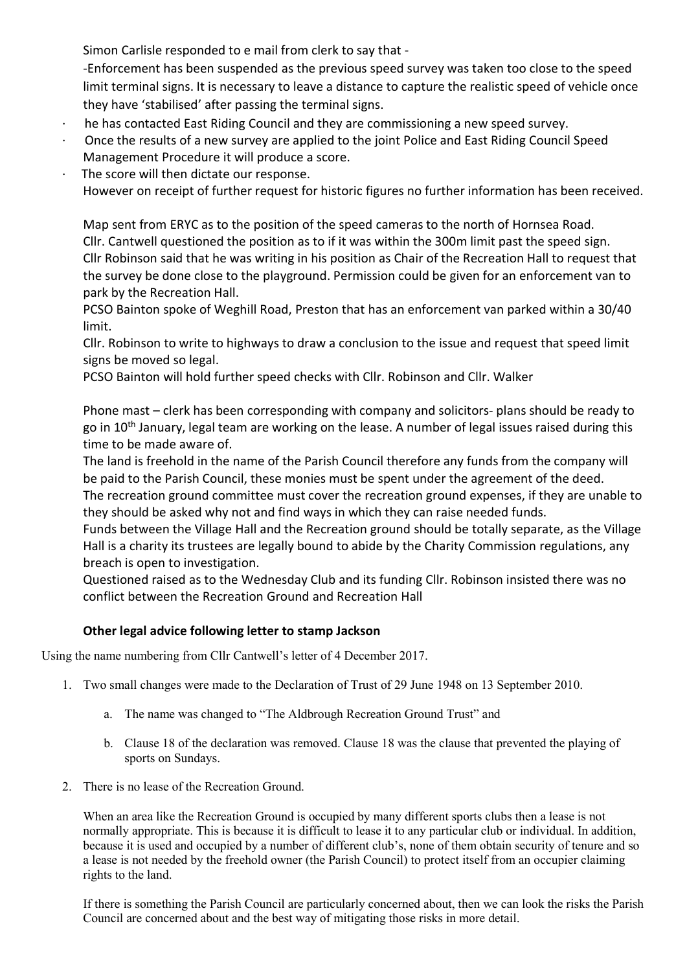Simon Carlisle responded to e mail from clerk to say that -

-Enforcement has been suspended as the previous speed survey was taken too close to the speed limit terminal signs. It is necessary to leave a distance to capture the realistic speed of vehicle once they have 'stabilised' after passing the terminal signs.

- he has contacted East Riding Council and they are commissioning a new speed survey.
- · Once the results of a new survey are applied to the joint Police and East Riding Council Speed Management Procedure it will produce a score.
- The score will then dictate our response.

However on receipt of further request for historic figures no further information has been received.

Map sent from ERYC as to the position of the speed cameras to the north of Hornsea Road. Cllr. Cantwell questioned the position as to if it was within the 300m limit past the speed sign. Cllr Robinson said that he was writing in his position as Chair of the Recreation Hall to request that the survey be done close to the playground. Permission could be given for an enforcement van to park by the Recreation Hall.

PCSO Bainton spoke of Weghill Road, Preston that has an enforcement van parked within a 30/40 limit.

Cllr. Robinson to write to highways to draw a conclusion to the issue and request that speed limit signs be moved so legal.

PCSO Bainton will hold further speed checks with Cllr. Robinson and Cllr. Walker

Phone mast – clerk has been corresponding with company and solicitors- plans should be ready to go in 10<sup>th</sup> January, legal team are working on the lease. A number of legal issues raised during this time to be made aware of.

The land is freehold in the name of the Parish Council therefore any funds from the company will be paid to the Parish Council, these monies must be spent under the agreement of the deed.

The recreation ground committee must cover the recreation ground expenses, if they are unable to they should be asked why not and find ways in which they can raise needed funds.

Funds between the Village Hall and the Recreation ground should be totally separate, as the Village Hall is a charity its trustees are legally bound to abide by the Charity Commission regulations, any breach is open to investigation.

Questioned raised as to the Wednesday Club and its funding Cllr. Robinson insisted there was no conflict between the Recreation Ground and Recreation Hall

# Other legal advice following letter to stamp Jackson

Using the name numbering from Cllr Cantwell's letter of 4 December 2017.

- 1. Two small changes were made to the Declaration of Trust of 29 June 1948 on 13 September 2010.
	- a. The name was changed to "The Aldbrough Recreation Ground Trust" and
	- b. Clause 18 of the declaration was removed. Clause 18 was the clause that prevented the playing of sports on Sundays.
- 2. There is no lease of the Recreation Ground.

When an area like the Recreation Ground is occupied by many different sports clubs then a lease is not normally appropriate. This is because it is difficult to lease it to any particular club or individual. In addition, because it is used and occupied by a number of different club's, none of them obtain security of tenure and so a lease is not needed by the freehold owner (the Parish Council) to protect itself from an occupier claiming rights to the land.

If there is something the Parish Council are particularly concerned about, then we can look the risks the Parish Council are concerned about and the best way of mitigating those risks in more detail.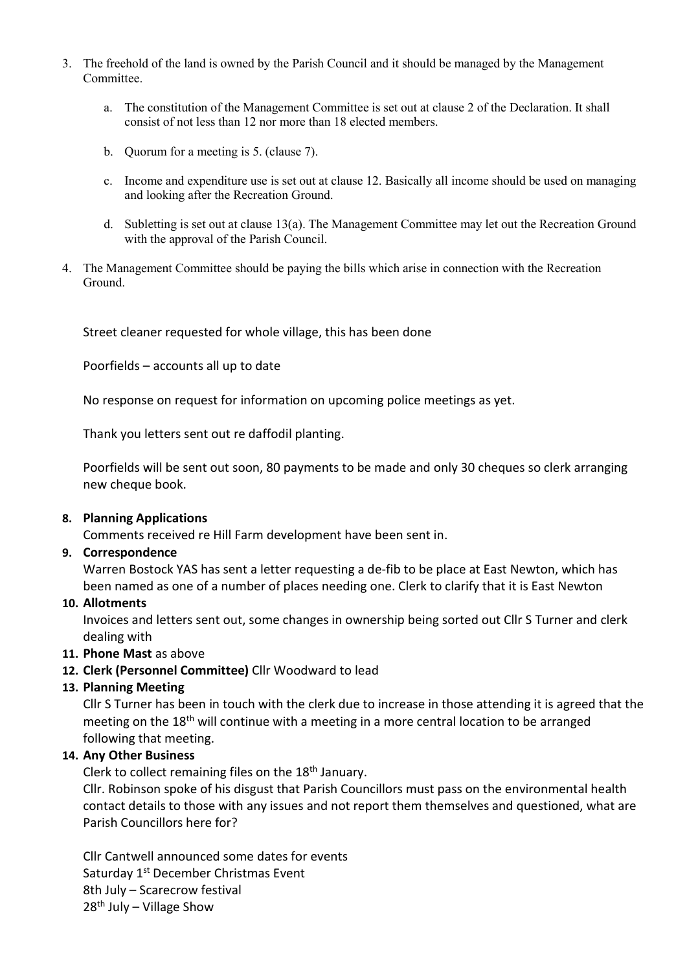- 3. The freehold of the land is owned by the Parish Council and it should be managed by the Management Committee.
	- a. The constitution of the Management Committee is set out at clause 2 of the Declaration. It shall consist of not less than 12 nor more than 18 elected members.
	- b. Quorum for a meeting is 5. (clause 7).
	- c. Income and expenditure use is set out at clause 12. Basically all income should be used on managing and looking after the Recreation Ground.
	- d. Subletting is set out at clause 13(a). The Management Committee may let out the Recreation Ground with the approval of the Parish Council.
- 4. The Management Committee should be paying the bills which arise in connection with the Recreation Ground.

Street cleaner requested for whole village, this has been done

Poorfields – accounts all up to date

No response on request for information on upcoming police meetings as yet.

Thank you letters sent out re daffodil planting.

Poorfields will be sent out soon, 80 payments to be made and only 30 cheques so clerk arranging new cheque book.

#### 8. Planning Applications

Comments received re Hill Farm development have been sent in.

## 9. Correspondence

Warren Bostock YAS has sent a letter requesting a de-fib to be place at East Newton, which has been named as one of a number of places needing one. Clerk to clarify that it is East Newton

#### 10. Allotments

Invoices and letters sent out, some changes in ownership being sorted out Cllr S Turner and clerk dealing with

## 11. Phone Mast as above

12. Clerk (Personnel Committee) Cllr Woodward to lead

## 13. Planning Meeting

Cllr S Turner has been in touch with the clerk due to increase in those attending it is agreed that the meeting on the 18<sup>th</sup> will continue with a meeting in a more central location to be arranged following that meeting.

#### 14. Any Other Business

Clerk to collect remaining files on the 18<sup>th</sup> January.

Cllr. Robinson spoke of his disgust that Parish Councillors must pass on the environmental health contact details to those with any issues and not report them themselves and questioned, what are Parish Councillors here for?

Cllr Cantwell announced some dates for events Saturday 1st December Christmas Event 8th July – Scarecrow festival  $28<sup>th</sup>$  July – Village Show